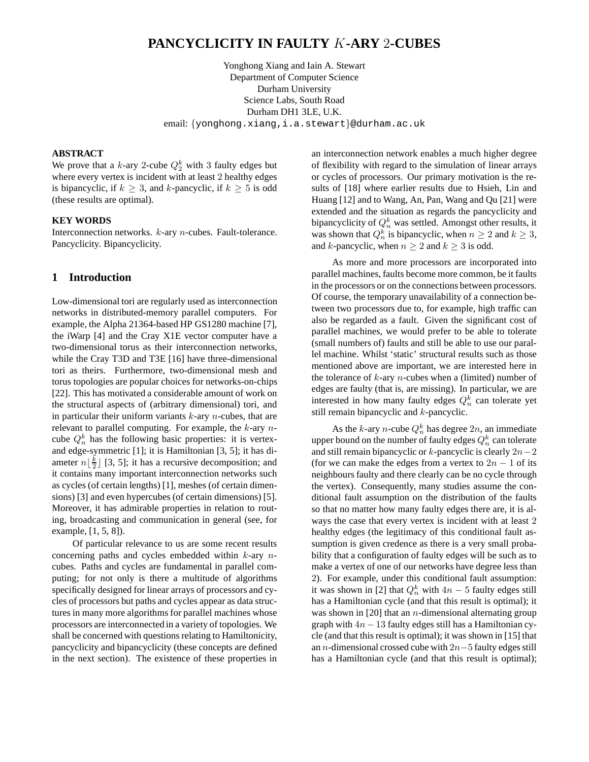## **PANCYCLICITY IN FAULTY** K**-ARY** 2**-CUBES**

Yonghong Xiang and Iain A. Stewart Department of Computer Science Durham University Science Labs, South Road Durham DH1 3LE, U.K. email: {yonghong.xiang,i.a.stewart}@durham.ac.uk

#### **ABSTRACT**

We prove that a k-ary 2-cube  $Q_2^k$  with 3 faulty edges but where every vertex is incident with at least 2 healthy edges is bipancyclic, if  $k \geq 3$ , and k-pancyclic, if  $k \geq 5$  is odd (these results are optimal).

#### **KEY WORDS**

Interconnection networks. k-ary n-cubes. Fault-tolerance. Pancyclicity. Bipancyclicity.

#### **1 Introduction**

Low-dimensional tori are regularly used as interconnection networks in distributed-memory parallel computers. For example, the Alpha 21364-based HP GS1280 machine [7], the iWarp [4] and the Cray X1E vector computer have a two-dimensional torus as their interconnection networks, while the Cray T3D and T3E [16] have three-dimensional tori as theirs. Furthermore, two-dimensional mesh and torus topologies are popular choices for networks-on-chips [22]. This has motivated a considerable amount of work on the structural aspects of (arbitrary dimensional) tori, and in particular their uniform variants  $k$ -ary  $n$ -cubes, that are relevant to parallel computing. For example, the  $k$ -ary  $n$ cube  $Q_n^k$  has the following basic properties: it is vertexand edge-symmetric [1]; it is Hamiltonian [3, 5]; it has diameter  $n \lfloor \frac{k}{2} \rfloor$  [3, 5]; it has a recursive decomposition; and it contains many important interconnection networks such as cycles (of certain lengths) [1], meshes (of certain dimensions) [3] and even hypercubes (of certain dimensions) [5]. Moreover, it has admirable properties in relation to routing, broadcasting and communication in general (see, for example, [1, 5, 8]).

Of particular relevance to us are some recent results concerning paths and cycles embedded within  $k$ -ary  $n$ cubes. Paths and cycles are fundamental in parallel computing; for not only is there a multitude of algorithms specifically designed for linear arrays of processors and cycles of processors but paths and cycles appear as data structures in many more algorithms for parallel machines whose processors are interconnected in a variety of topologies. We shall be concerned with questions relating to Hamiltonicity, pancyclicity and bipancyclicity (these concepts are defined in the next section). The existence of these properties in

an interconnection network enables a much higher degree of flexibility with regard to the simulation of linear arrays or cycles of processors. Our primary motivation is the results of [18] where earlier results due to Hsieh, Lin and Huang [12] and to Wang, An, Pan, Wang and Qu [21] were extended and the situation as regards the pancyclicity and bipancyclicity of  $Q_n^k$  was settled. Amongst other results, it was shown that  $Q_n^k$  is bipancyclic, when  $n \geq 2$  and  $k \geq 3$ , and k-pancyclic, when  $n \geq 2$  and  $k \geq 3$  is odd.

As more and more processors are incorporated into parallel machines, faults become more common, be it faults in the processors or on the connections between processors. Of course, the temporary unavailability of a connection between two processors due to, for example, high traffic can also be regarded as a fault. Given the significant cost of parallel machines, we would prefer to be able to tolerate (small numbers of) faults and still be able to use our parallel machine. Whilst 'static' structural results such as those mentioned above are important, we are interested here in the tolerance of  $k$ -ary  $n$ -cubes when a (limited) number of edges are faulty (that is, are missing). In particular, we are interested in how many faulty edges  $Q_n^k$  can tolerate yet still remain bipancyclic and k-pancyclic.

As the k-ary *n*-cube  $Q_n^k$  has degree  $2n$ , an immediate upper bound on the number of faulty edges  $Q_n^k$  can tolerate and still remain bipancyclic or  $k$ -pancyclic is clearly  $2n-2$ (for we can make the edges from a vertex to  $2n - 1$  of its neighbours faulty and there clearly can be no cycle through the vertex). Consequently, many studies assume the conditional fault assumption on the distribution of the faults so that no matter how many faulty edges there are, it is always the case that every vertex is incident with at least 2 healthy edges (the legitimacy of this conditional fault assumption is given credence as there is a very small probability that a configuration of faulty edges will be such as to make a vertex of one of our networks have degree less than 2). For example, under this conditional fault assumption: it was shown in [2] that  $Q_n^k$  with  $4n-5$  faulty edges still has a Hamiltonian cycle (and that this result is optimal); it was shown in  $[20]$  that an *n*-dimensional alternating group graph with  $4n - 13$  faulty edges still has a Hamiltonian cycle (and that this result is optimal); it was shown in [15] that an *n*-dimensional crossed cube with  $2n-5$  faulty edges still has a Hamiltonian cycle (and that this result is optimal);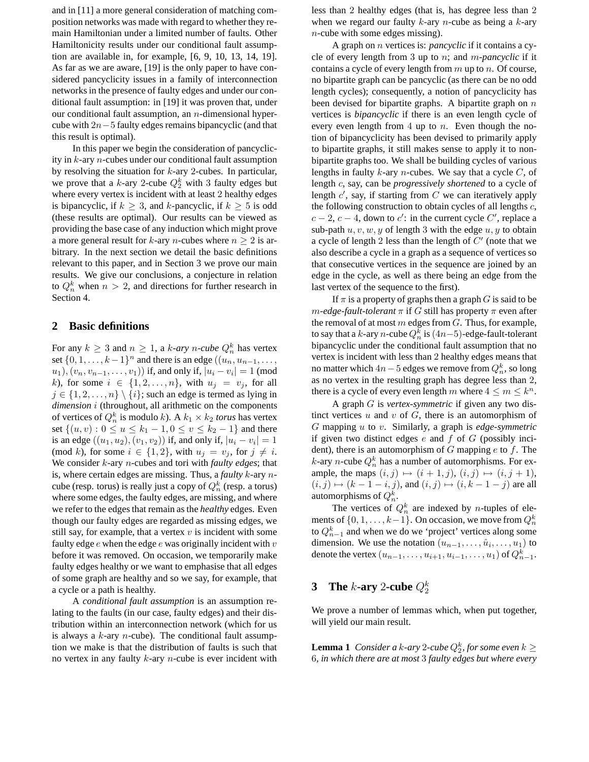and in [11] a more general consideration of matching composition networks was made with regard to whether they remain Hamiltonian under a limited number of faults. Other Hamiltonicity results under our conditional fault assumption are available in, for example, [6, 9, 10, 13, 14, 19]. As far as we are aware, [19] is the only paper to have considered pancyclicity issues in a family of interconnection networks in the presence of faulty edges and under our conditional fault assumption: in [19] it was proven that, under our conditional fault assumption, an  $n$ -dimensional hypercube with 2n−5 faulty edges remains bipancyclic (and that this result is optimal).

In this paper we begin the consideration of pancyclicity in k-ary n-cubes under our conditional fault assumption by resolving the situation for  $k$ -ary 2-cubes. In particular, we prove that a k-ary 2-cube  $Q_2^k$  with 3 faulty edges but where every vertex is incident with at least 2 healthy edges is bipancyclic, if  $k \geq 3$ , and k-pancyclic, if  $k \geq 5$  is odd (these results are optimal). Our results can be viewed as providing the base case of any induction which might prove a more general result for k-ary *n*-cubes where  $n \geq 2$  is arbitrary. In the next section we detail the basic definitions relevant to this paper, and in Section 3 we prove our main results. We give our conclusions, a conjecture in relation to  $Q_n^k$  when  $n > 2$ , and directions for further research in Section 4.

#### **2 Basic definitions**

For any  $k \geq 3$  and  $n \geq 1$ , a *k*-ary *n*-cube  $Q_n^k$  has vertex set  $\{0, 1, \ldots, k-1\}^n$  and there is an edge  $((u_n, u_{n-1}, \ldots,$  $(u_1), (v_n, v_{n-1}, \ldots, v_1))$  if, and only if,  $|u_i - v_i| = 1 \pmod{d}$ k), for some  $i \in \{1, 2, \ldots, n\}$ , with  $u_j = v_j$ , for all  $j \in \{1, 2, \ldots, n\} \setminus \{i\}$ ; such an edge is termed as lying in *dimension* i (throughout, all arithmetic on the components of vertices of  $Q_n^k$  is modulo k). A  $k_1 \times k_2$  *torus* has vertex set  $\{(u, v): 0 \le u \le k_1 - 1, 0 \le v \le k_2 - 1\}$  and there is an edge  $((u_1, u_2), (v_1, v_2))$  if, and only if,  $|u_i - v_i| = 1$ (mod k), for some  $i \in \{1,2\}$ , with  $u_j = v_j$ , for  $j \neq i$ . We consider k-ary n-cubes and tori with *faulty edges*; that is, where certain edges are missing. Thus, a *faulty* k-ary ncube (resp. torus) is really just a copy of  $Q_n^k$  (resp. a torus) where some edges, the faulty edges, are missing, and where we refer to the edges that remain as the *healthy* edges. Even though our faulty edges are regarded as missing edges, we still say, for example, that a vertex  $v$  is incident with some faulty edge  $e$  when the edge  $e$  was originally incident with  $v$ before it was removed. On occasion, we temporarily make faulty edges healthy or we want to emphasise that all edges of some graph are healthy and so we say, for example, that a cycle or a path is healthy.

A *conditional fault assumption* is an assumption relating to the faults (in our case, faulty edges) and their distribution within an interconnection network (which for us is always a  $k$ -ary  $n$ -cube). The conditional fault assumption we make is that the distribution of faults is such that no vertex in any faulty  $k$ -ary  $n$ -cube is ever incident with less than 2 healthy edges (that is, has degree less than 2 when we regard our faulty  $k$ -ary *n*-cube as being a  $k$ -ary  $n$ -cube with some edges missing).

A graph on n vertices is: *pancyclic* if it contains a cycle of every length from 3 up to n; and m*-pancyclic* if it contains a cycle of every length from  $m$  up to  $n$ . Of course, no bipartite graph can be pancyclic (as there can be no odd length cycles); consequently, a notion of pancyclicity has been devised for bipartite graphs. A bipartite graph on  $n$ vertices is *bipancyclic* if there is an even length cycle of every even length from 4 up to  $n$ . Even though the notion of bipancyclicity has been devised to primarily apply to bipartite graphs, it still makes sense to apply it to nonbipartite graphs too. We shall be building cycles of various lengths in faulty k-ary *n*-cubes. We say that a cycle  $C$ , of length c, say, can be *progressively shortened* to a cycle of length  $c'$ , say, if starting from  $\overline{C}$  we can iteratively apply the following construction to obtain cycles of all lengths c,  $c - 2$ ,  $c - 4$ , down to  $c'$ : in the current cycle  $C'$ , replace a sub-path  $u, v, w, y$  of length 3 with the edge  $u, y$  to obtain a cycle of length 2 less than the length of  $C'$  (note that we also describe a cycle in a graph as a sequence of vertices so that consecutive vertices in the sequence are joined by an edge in the cycle, as well as there being an edge from the last vertex of the sequence to the first).

If  $\pi$  is a property of graphs then a graph G is said to be  $m$ -edge-fault-tolerant  $\pi$  if G still has property  $\pi$  even after the removal of at most  $m$  edges from  $G$ . Thus, for example, to say that a  $k$ -ary  $n$ -cube  $Q_n^k$  is  $(4n-5)$ -edge-fault-tolerant bipancyclic under the conditional fault assumption that no vertex is incident with less than 2 healthy edges means that no matter which 4 $n-5$  edges we remove from  $Q_n^k,$  so long as no vertex in the resulting graph has degree less than 2, there is a cycle of every even length m where  $4 \le m \le k^n$ .

A graph G is *vertex-symmetric* if given any two distinct vertices  $u$  and  $v$  of  $G$ , there is an automorphism of G mapping u to v. Similarly, a graph is *edge-symmetric* if given two distinct edges  $e$  and  $f$  of  $G$  (possibly incident), there is an automorphism of  $G$  mapping  $e$  to  $f$ . The *k*-ary *n*-cube  $Q_n^k$  has a number of automorphisms. For example, the maps  $(i, j) \mapsto (i + 1, j), (i, j) \mapsto (i, j + 1),$  $(i, j) \mapsto (k - 1 - i, j)$ , and  $(i, j) \mapsto (i, k - 1 - j)$  are all automorphisms of  $Q_n^k$ .

The vertices of  $Q_n^k$  are indexed by *n*-tuples of elements of  $\{0, 1, \ldots, k-1\}$ . On occasion, we move from  $Q_n^k$ to  $Q_{n-1}^k$  and when we do we 'project' vertices along some dimension. We use the notation  $(u_{n-1}, \ldots, \hat{u}_i, \ldots, u_1)$  to denote the vertex  $(u_{n-1},\ldots,u_{i+1},u_{i-1},\ldots,u_1)$  of  $Q_{n-1}^k.$ 

# **3** The *k*-ary 2-cube  $Q_2^k$

We prove a number of lemmas which, when put together, will yield our main result.

**Lemma 1** Consider a k-ary 2-cube  $Q_2^k$ , for some even  $k \geq$ 6*, in which there are at most* 3 *faulty edges but where every*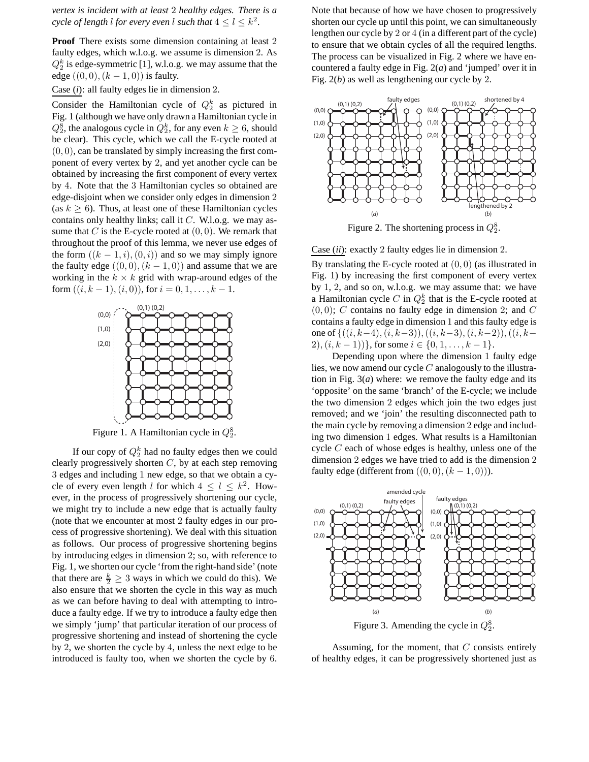*vertex is incident with at least* 2 *healthy edges. There is a cycle of length l for every even l such that*  $4 \leq l \leq k^2$ .

**Proof** There exists some dimension containing at least 2 faulty edges, which w.l.o.g. we assume is dimension 2. As  $Q_2^k$  is edge-symmetric [1], w.l.o.g. we may assume that the edge  $((0, 0), (k - 1, 0))$  is faulty.

Case (*i*): all faulty edges lie in dimension 2.

Consider the Hamiltonian cycle of  $Q_2^k$  as pictured in Fig. 1 (although we have only drawn a Hamiltonian cycle in  $Q_2^8$ , the analogous cycle in  $Q_2^k$ , for any even  $k \geq 6$ , should be clear). This cycle, which we call the E-cycle rooted at  $(0, 0)$ , can be translated by simply increasing the first component of every vertex by 2, and yet another cycle can be obtained by increasing the first component of every vertex by 4. Note that the 3 Hamiltonian cycles so obtained are edge-disjoint when we consider only edges in dimension 2 (as  $k \geq 6$ ). Thus, at least one of these Hamiltonian cycles contains only healthy links; call it  $C$ . W.l.o.g. we may assume that  $C$  is the E-cycle rooted at  $(0, 0)$ . We remark that throughout the proof of this lemma, we never use edges of the form  $((k - 1, i), (0, i))$  and so we may simply ignore the faulty edge  $((0, 0), (k - 1, 0))$  and assume that we are working in the  $k \times k$  grid with wrap-around edges of the form  $((i, k - 1), (i, 0))$ , for  $i = 0, 1, ..., k - 1$ .



Figure 1. A Hamiltonian cycle in  $Q_2^8$ .

If our copy of  $Q_2^k$  had no faulty edges then we could clearly progressively shorten  $C$ , by at each step removing 3 edges and including 1 new edge, so that we obtain a cycle of every even length l for which  $4 \leq l \leq k^2$ . However, in the process of progressively shortening our cycle, we might try to include a new edge that is actually faulty (note that we encounter at most 2 faulty edges in our process of progressive shortening). We deal with this situation as follows. Our process of progressive shortening begins by introducing edges in dimension 2; so, with reference to Fig. 1, we shorten our cycle 'from the right-hand side' (note that there are  $\frac{k}{2} \geq 3$  ways in which we could do this). We also ensure that we shorten the cycle in this way as much as we can before having to deal with attempting to introduce a faulty edge. If we try to introduce a faulty edge then we simply 'jump' that particular iteration of our process of progressive shortening and instead of shortening the cycle by 2, we shorten the cycle by 4, unless the next edge to be introduced is faulty too, when we shorten the cycle by 6.

Note that because of how we have chosen to progressively shorten our cycle up until this point, we can simultaneously lengthen our cycle by 2 or 4 (in a different part of the cycle) to ensure that we obtain cycles of all the required lengths. The process can be visualized in Fig. 2 where we have encountered a faulty edge in Fig. 2(*a*) and 'jumped' over it in Fig. 2(*b*) as well as lengthening our cycle by 2.



Figure 2. The shortening process in  $Q_2^8$ .

Case (*ii*): exactly 2 faulty edges lie in dimension 2.

By translating the E-cycle rooted at  $(0, 0)$  (as illustrated in Fig. 1) by increasing the first component of every vertex by 1, 2, and so on, w.l.o.g. we may assume that: we have a Hamiltonian cycle C in  $Q_2^k$  that is the E-cycle rooted at  $(0, 0); C$  contains no faulty edge in dimension 2; and C contains a faulty edge in dimension 1 and this faulty edge is one of  $\{((i, k-4), (i, k-3)), ((i, k-3), (i, k-2)), ((i, k-4), (i, k-4), (i, k-3), (i, k-2)\}$  $2$ ,  $(i, k - 1)$ }, for some  $i \in \{0, 1, ..., k - 1\}$ .

Depending upon where the dimension 1 faulty edge lies, we now amend our cycle  $C$  analogously to the illustration in Fig. 3(*a*) where: we remove the faulty edge and its 'opposite' on the same 'branch' of the E-cycle; we include the two dimension 2 edges which join the two edges just removed; and we 'join' the resulting disconnected path to the main cycle by removing a dimension 2 edge and including two dimension 1 edges. What results is a Hamiltonian cycle  $C$  each of whose edges is healthy, unless one of the dimension 2 edges we have tried to add is the dimension 2 faulty edge (different from  $((0,0),(k-1,0))$ ).



Assuming, for the moment, that  $C$  consists entirely

of healthy edges, it can be progressively shortened just as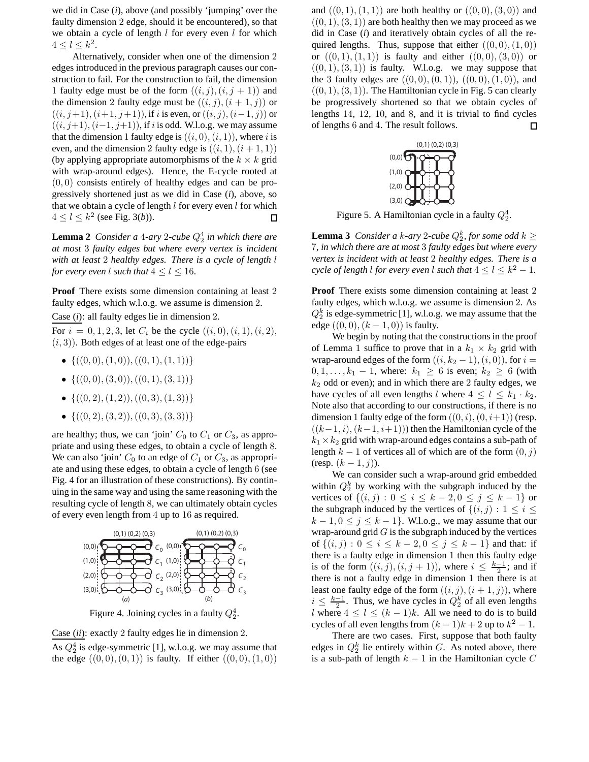we did in Case (*i*), above (and possibly 'jumping' over the faulty dimension 2 edge, should it be encountered), so that we obtain a cycle of length  $l$  for every even  $l$  for which  $4 \leq l \leq k^2$ .

Alternatively, consider when one of the dimension 2 edges introduced in the previous paragraph causes our construction to fail. For the construction to fail, the dimension 1 faulty edge must be of the form  $((i, j), (i, j + 1))$  and the dimension 2 faulty edge must be  $((i, j), (i + 1, j))$  or  $((i, j+1), (i+1, j+1))$ , if i is even, or  $((i, j), (i-1, j))$  or  $((i, j+1), (i-1, j+1))$ , if i is odd. W.l.o.g. we may assume that the dimension 1 faulty edge is  $((i, 0), (i, 1))$ , where i is even, and the dimension 2 faulty edge is  $((i, 1), (i + 1, 1))$ (by applying appropriate automorphisms of the  $k \times k$  grid with wrap-around edges). Hence, the E-cycle rooted at  $(0, 0)$  consists entirely of healthy edges and can be progressively shortened just as we did in Case (*i*), above, so that we obtain a cycle of length  $l$  for every even  $l$  for which  $4 \leq l \leq k^2$  (see Fig. 3(*b*)). □

**Lemma 2** *Consider a 4-ary 2-cube*  $Q_2^4$  *in which there are at most* 3 *faulty edges but where every vertex is incident with at least* 2 *healthy edges. There is a cycle of length* l *for every even* l *such that*  $4 \le l \le 16$ *.* 

**Proof** There exists some dimension containing at least 2 faulty edges, which w.l.o.g. we assume is dimension 2.

Case (*i*): all faulty edges lie in dimension 2.

For  $i = 0, 1, 2, 3$ , let  $C_i$  be the cycle  $((i, 0), (i, 1), (i, 2),$  $(i, 3)$ ). Both edges of at least one of the edge-pairs

- $\{((0,0), (1,0)), ((0,1), (1, 1))\}$
- $\{((0,0),(3,0)),((0,1),(3,1))\}$
- $\{((0, 2), (1, 2)), ((0, 3), (1, 3))\}$
- $\{((0, 2), (3, 2)), ((0, 3), (3, 3))\}$

are healthy; thus, we can 'join'  $C_0$  to  $C_1$  or  $C_3$ , as appropriate and using these edges, to obtain a cycle of length 8. We can also 'join'  $C_0$  to an edge of  $C_1$  or  $C_3$ , as appropriate and using these edges, to obtain a cycle of length 6 (see Fig. 4 for an illustration of these constructions). By continuing in the same way and using the same reasoning with the resulting cycle of length 8, we can ultimately obtain cycles of every even length from 4 up to 16 as required.



Figure 4. Joining cycles in a faulty  $Q_2^4$ .

Case (*ii*): exactly 2 faulty edges lie in dimension 2.

As  $Q_2^4$  is edge-symmetric [1], w.l.o.g. we may assume that the edge  $((0, 0), (0, 1))$  is faulty. If either  $((0, 0), (1, 0))$ 

and  $((0, 1), (1, 1))$  are both healthy or  $((0, 0), (3, 0))$  and  $((0, 1), (3, 1))$  are both healthy then we may proceed as we did in Case (*i*) and iteratively obtain cycles of all the required lengths. Thus, suppose that either  $((0, 0), (1, 0))$ or  $((0, 1), (1, 1))$  is faulty and either  $((0, 0), (3, 0))$  or  $((0, 1), (3, 1))$  is faulty. W.l.o.g. we may suppose that the 3 faulty edges are  $((0, 0), (0, 1)), ((0, 0), (1, 0)),$  and  $((0, 1), (3, 1))$ . The Hamiltonian cycle in Fig. 5 can clearly be progressively shortened so that we obtain cycles of lengths  $14$ ,  $12$ ,  $10$ , and  $8$ , and it is trivial to find cycles of lengths 6 and 4. The result follows. 口



Figure 5. A Hamiltonian cycle in a faulty  $Q_2^4$ .

**Lemma 3** *Consider a k-ary* 2-cube  $Q_2^k$ , for some odd  $k \geq$ 7*, in which there are at most* 3 *faulty edges but where every vertex is incident with at least* 2 *healthy edges. There is a cycle of length l for every even l such that*  $4 \leq l \leq k^2 - 1$ *.* 

**Proof** There exists some dimension containing at least 2 faulty edges, which w.l.o.g. we assume is dimension 2. As  $Q_2^k$  is edge-symmetric [1], w.l.o.g. we may assume that the edge  $((0, 0), (k - 1, 0))$  is faulty.

We begin by noting that the constructions in the proof of Lemma 1 suffice to prove that in a  $k_1 \times k_2$  grid with wrap-around edges of the form  $((i, k_2 - 1), (i, 0))$ , for  $i =$  $0, 1, \ldots, k_1 - 1$ , where:  $k_1 \ge 6$  is even;  $k_2 \ge 6$  (with  $k_2$  odd or even); and in which there are 2 faulty edges, we have cycles of all even lengths l where  $4 \leq l \leq k_1 \cdot k_2$ . Note also that according to our constructions, if there is no dimension 1 faulty edge of the form  $((0, i), (0, i+1))$  (resp.  $((k-1, i), (k-1, i+1))$ ) then the Hamiltonian cycle of the  $k_1 \times k_2$  grid with wrap-around edges contains a sub-path of length  $k - 1$  of vertices all of which are of the form  $(0, j)$ (resp.  $(k-1, j)$ ).

We can consider such a wrap-around grid embedded within  $Q_2^k$  by working with the subgraph induced by the vertices of  $\{(i, j) : 0 \le i \le k - 2, 0 \le j \le k - 1\}$  or the subgraph induced by the vertices of  $\{(i, j) : 1 \le i \le n\}$  $k-1, 0 \le j \le k-1$ . W.l.o.g., we may assume that our wrap-around grid  $G$  is the subgraph induced by the vertices of  $\{(i, j) : 0 \le i \le k - 2, 0 \le j \le k - 1\}$  and that: if there is a faulty edge in dimension 1 then this faulty edge is of the form  $((i, j), (i, j + 1))$ , where  $i \leq \frac{k-1}{2}$ ; and if there is not a faulty edge in dimension 1 then there is at least one faulty edge of the form  $((i, j), (i + 1, j))$ , where  $i \leq \frac{k-1}{2}$ . Thus, we have cycles in  $Q_2^k$  of all even lengths l where  $4 \leq l \leq (k-1)k$ . All we need to do is to build cycles of all even lengths from  $(k-1)k+2$  up to  $k^2-1$ .

There are two cases. First, suppose that both faulty edges in  $Q_2^k$  lie entirely within G. As noted above, there is a sub-path of length  $k - 1$  in the Hamiltonian cycle C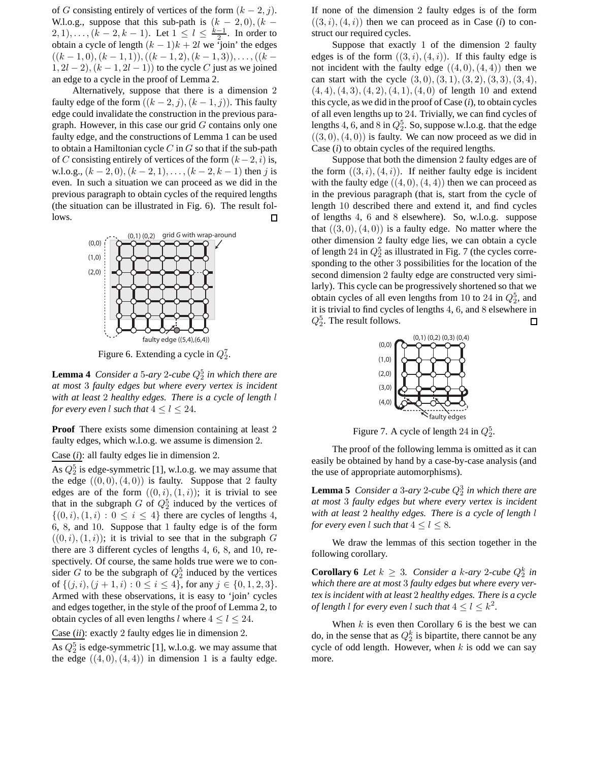of G consisting entirely of vertices of the form  $(k - 2, j)$ . W.l.o.g., suppose that this sub-path is  $(k - 2, 0)$ ,  $(k - 1)$ 2, 1), ...,  $(k-2, k-1)$ . Let  $1 \leq l \leq \frac{k-1}{2}$ . In order to obtain a cycle of length  $(k - 1)k + 2l$  we 'join' the edges  $((k-1,0),(k-1,1)),((k-1,2),(k-1,3)),\ldots,((k-1,1))$  $1, 2l - 2$ ,  $(k - 1, 2l - 1)$  to the cycle C just as we joined an edge to a cycle in the proof of Lemma 2.

Alternatively, suppose that there is a dimension 2 faulty edge of the form  $((k - 2, j), (k - 1, j))$ . This faulty edge could invalidate the construction in the previous paragraph. However, in this case our grid  $G$  contains only one faulty edge, and the constructions of Lemma 1 can be used to obtain a Hamiltonian cycle  $C$  in  $G$  so that if the sub-path of C consisting entirely of vertices of the form  $(k-2, i)$  is, w.l.o.g.,  $(k-2, 0)$ ,  $(k-2, 1)$ , ...,  $(k-2, k-1)$  then j is even. In such a situation we can proceed as we did in the previous paragraph to obtain cycles of the required lengths (the situation can be illustrated in Fig. 6). The result follows.  $\Box$ 



Figure 6. Extending a cycle in  $Q_2^7$ .

**Lemma 4** *Consider a* 5-ary 2-cube  $Q_2^5$  *in which there are at most* 3 *faulty edges but where every vertex is incident with at least* 2 *healthy edges. There is a cycle of length* l *for every even* l *such that*  $4 < l < 24$ *.* 

**Proof** There exists some dimension containing at least 2 faulty edges, which w.l.o.g. we assume is dimension 2.

Case (*i*): all faulty edges lie in dimension 2.

As  $Q_2^5$  is edge-symmetric [1], w.l.o.g. we may assume that the edge  $((0, 0), (4, 0))$  is faulty. Suppose that 2 faulty edges are of the form  $((0, i), (1, i))$ ; it is trivial to see that in the subgraph  $G$  of  $Q_2^5$  induced by the vertices of  $\{(0, i), (1, i) : 0 \leq i \leq 4\}$  there are cycles of lengths 4, 6, 8, and 10. Suppose that 1 faulty edge is of the form  $((0, i), (1, i))$ ; it is trivial to see that in the subgraph G there are 3 different cycles of lengths 4, 6, 8, and 10, respectively. Of course, the same holds true were we to consider G to be the subgraph of  $Q_2^5$  induced by the vertices of  $\{(j, i), (j + 1, i) : 0 \le i \le 4\}$ , for any  $j \in \{0, 1, 2, 3\}$ . Armed with these observations, it is easy to 'join' cycles and edges together, in the style of the proof of Lemma 2, to obtain cycles of all even lengths l where  $4 \le l \le 24$ .

Case (*ii*): exactly 2 faulty edges lie in dimension 2.

As  $Q_2^5$  is edge-symmetric [1], w.l.o.g. we may assume that the edge  $((4, 0), (4, 4))$  in dimension 1 is a faulty edge. If none of the dimension 2 faulty edges is of the form  $((3, i), (4, i))$  then we can proceed as in Case (*i*) to construct our required cycles.

Suppose that exactly 1 of the dimension 2 faulty edges is of the form  $((3, i), (4, i))$ . If this faulty edge is not incident with the faulty edge  $((4, 0), (4, 4))$  then we can start with the cycle  $(3, 0), (3, 1), (3, 2), (3, 3), (3, 4),$  $(4, 4), (4, 3), (4, 2), (4, 1), (4, 0)$  of length 10 and extend this cycle, as we did in the proof of Case (*i*), to obtain cycles of all even lengths up to 24. Trivially, we can find cycles of lengths 4, 6, and 8 in  $Q_2^5$ . So, suppose w.l.o.g. that the edge  $((3, 0), (4, 0))$  is faulty. We can now proceed as we did in Case (*i*) to obtain cycles of the required lengths.

Suppose that both the dimension 2 faulty edges are of the form  $((3, i), (4, i))$ . If neither faulty edge is incident with the faulty edge  $((4, 0), (4, 4))$  then we can proceed as in the previous paragraph (that is, start from the cycle of length 10 described there and extend it, and find cycles of lengths 4, 6 and 8 elsewhere). So, w.l.o.g. suppose that  $((3,0),(4,0))$  is a faulty edge. No matter where the other dimension 2 faulty edge lies, we can obtain a cycle of length 24 in  $Q_2^5$  as illustrated in Fig. 7 (the cycles corresponding to the other 3 possibilities for the location of the second dimension 2 faulty edge are constructed very similarly). This cycle can be progressively shortened so that we obtain cycles of all even lengths from 10 to 24 in  $Q_2^5$ , and it is trivial to find cycles of lengths 4, 6, and 8 elsewhere in  $Q_2^5$ . The result follows.  $\Box$ 



Figure 7. A cycle of length 24 in  $Q_2^5$ .

The proof of the following lemma is omitted as it can easily be obtained by hand by a case-by-case analysis (and the use of appropriate automorphisms).

**Lemma 5** *Consider a 3-ary 2-cube*  $Q_2^3$  *in which there are at most* 3 *faulty edges but where every vertex is incident with at least* 2 *healthy edges. There is a cycle of length* l *for every even* l *such that*  $4 \le l \le 8$ *.* 

We draw the lemmas of this section together in the following corollary.

**Corollary 6** *Let*  $k \geq 3$ *. Consider a k-ary* 2-cube  $Q_2^k$  *in which there are at most* 3 *faulty edges but where every vertex is incident with at least* 2 *healthy edges. There is a cycle of length l for every even l such that*  $4 \leq l \leq k^2$ .

When  $k$  is even then Corollary 6 is the best we can do, in the sense that as  $Q_2^k$  is bipartite, there cannot be any cycle of odd length. However, when  $k$  is odd we can say more.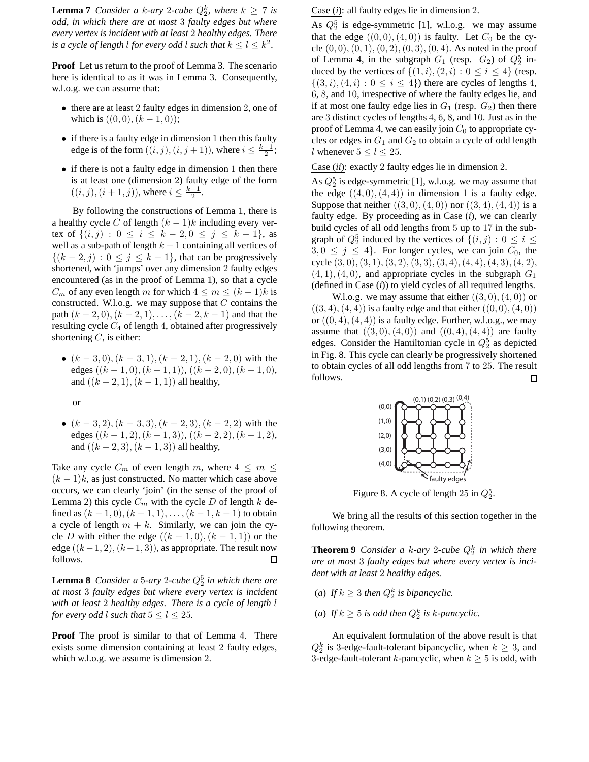**Lemma 7** *Consider a k-ary* 2-*cube*  $Q_2^k$ *, where*  $k \geq 7$  *is odd, in which there are at most* 3 *faulty edges but where every vertex is incident with at least* 2 *healthy edges. There is a cycle of length l for every odd l such that*  $k \leq l \leq k^2$ .

**Proof** Let us return to the proof of Lemma 3. The scenario here is identical to as it was in Lemma 3. Consequently, w.l.o.g. we can assume that:

- there are at least 2 faulty edges in dimension 2, one of which is  $((0, 0), (k - 1, 0))$ ;
- if there is a faulty edge in dimension 1 then this faulty edge is of the form  $((i, j), (i, j + 1))$ , where  $i \leq \frac{k-1}{2}$ ;
- if there is not a faulty edge in dimension 1 then there is at least one (dimension 2) faulty edge of the form  $((i, j), (i + 1, j)),$  where  $i \leq \frac{k-1}{2}$ .

By following the constructions of Lemma 1, there is a healthy cycle C of length  $(k - 1)k$  including every vertex of  $\{(i, j) : 0 \le i \le k - 2, 0 \le j \le k - 1\}$ , as well as a sub-path of length  $k - 1$  containing all vertices of  $\{(k-2,j): 0 \leq j \leq k-1\}$ , that can be progressively shortened, with 'jumps' over any dimension 2 faulty edges encountered (as in the proof of Lemma 1), so that a cycle  $C_m$  of any even length m for which  $4 \le m \le (k-1)k$  is constructed. W.l.o.g. we may suppose that  $C$  contains the path  $(k-2,0)$ ,  $(k-2,1)$ , ...,  $(k-2, k-1)$  and that the resulting cycle  $C_4$  of length 4, obtained after progressively shortening  $C$ , is either:

•  $(k-3,0)$ ,  $(k-3,1)$ ,  $(k-2,1)$ ,  $(k-2,0)$  with the edges  $((k - 1, 0), (k - 1, 1)), ((k - 2, 0), (k - 1, 0),$ and  $((k - 2, 1), (k - 1, 1))$  all healthy,

or

•  $(k-3, 2), (k-3, 3), (k-2, 3), (k-2, 2)$  with the edges  $((k - 1, 2), (k - 1, 3)), ((k - 2, 2), (k - 1, 2))$ and  $((k - 2, 3), (k - 1, 3))$  all healthy,

Take any cycle  $C_m$  of even length m, where  $4 \leq m \leq$  $(k-1)$ k, as just constructed. No matter which case above occurs, we can clearly 'join' (in the sense of the proof of Lemma 2) this cycle  $C_m$  with the cycle D of length k defined as  $(k - 1, 0)$ ,  $(k - 1, 1)$ , ...,  $(k - 1, k - 1)$  to obtain a cycle of length  $m + k$ . Similarly, we can join the cycle D with either the edge  $((k - 1, 0), (k - 1, 1))$  or the edge  $((k-1, 2), (k-1, 3))$ , as appropriate. The result now follows.  $\Box$ 

**Lemma 8** *Consider a* 5-ary 2-cube  $Q_2^5$  *in which there are at most* 3 *faulty edges but where every vertex is incident with at least* 2 *healthy edges. There is a cycle of length* l *for every odd* l *such that*  $5 \le l \le 25$ *.* 

**Proof** The proof is similar to that of Lemma 4. There exists some dimension containing at least 2 faulty edges, which w.l.o.g. we assume is dimension 2.

Case (*i*): all faulty edges lie in dimension 2.

As  $Q_2^5$  is edge-symmetric [1], w.l.o.g. we may assume that the edge  $((0,0),(4,0))$  is faulty. Let  $C_0$  be the cycle  $(0, 0), (0, 1), (0, 2), (0, 3), (0, 4)$ . As noted in the proof of Lemma 4, in the subgraph  $G_1$  (resp.  $G_2$ ) of  $Q_2^5$  induced by the vertices of  $\{(1, i), (2, i) : 0 \le i \le 4\}$  (resp.  $\{(3, i), (4, i): 0 \leq i \leq 4\}$  there are cycles of lengths 4, 6, 8, and 10, irrespective of where the faulty edges lie, and if at most one faulty edge lies in  $G_1$  (resp.  $G_2$ ) then there are 3 distinct cycles of lengths 4, 6, 8, and 10. Just as in the proof of Lemma 4, we can easily join  $C_0$  to appropriate cycles or edges in  $G_1$  and  $G_2$  to obtain a cycle of odd length *l* whenever  $5 \le l \le 25$ .

Case (*ii*): exactly 2 faulty edges lie in dimension 2.

As  $Q_2^5$  is edge-symmetric [1], w.l.o.g. we may assume that the edge  $((4, 0), (4, 4))$  in dimension 1 is a faulty edge. Suppose that neither  $((3,0),(4,0))$  nor  $((3,4),(4,4))$  is a faulty edge. By proceeding as in Case (*i*), we can clearly build cycles of all odd lengths from 5 up to 17 in the subgraph of  $Q_2^5$  induced by the vertices of  $\{(i, j) : 0 \le i \le j\}$  $3, 0 \leq j \leq 4$ . For longer cycles, we can join  $C_0$ , the cycle  $(3, 0), (3, 1), (3, 2), (3, 3), (3, 4), (4, 4), (4, 3), (4, 2),$  $(4, 1), (4, 0)$ , and appropriate cycles in the subgraph  $G_1$ (defined in Case (*i*)) to yield cycles of all required lengths.

W.l.o.g. we may assume that either  $((3,0),(4,0))$  or  $((3, 4), (4, 4))$  is a faulty edge and that either  $((0, 0), (4, 0))$ or  $((0, 4), (4, 4))$  is a faulty edge. Further, w.l.o.g., we may assume that  $((3,0),(4,0))$  and  $((0,4),(4,4))$  are faulty edges. Consider the Hamiltonian cycle in  $Q_2^5$  as depicted in Fig. 8. This cycle can clearly be progressively shortened to obtain cycles of all odd lengths from 7 to 25. The result follows.  $\Box$ 



Figure 8. A cycle of length 25 in  $Q_2^5$ .

We bring all the results of this section together in the following theorem.

**Theorem 9** *Consider a k-ary* 2-cube  $Q_2^k$  *in which there are at most* 3 *faulty edges but where every vertex is incident with at least* 2 *healthy edges.*

- (*a*) If  $k \geq 3$  then  $Q_2^k$  is bipancyclic.
- (*a*) If  $k \geq 5$  is odd then  $Q_2^k$  is k-pancyclic.

An equivalent formulation of the above result is that  $Q_2^k$  is 3-edge-fault-tolerant bipancyclic, when  $k \geq 3$ , and 3-edge-fault-tolerant k-pancyclic, when  $k \geq 5$  is odd, with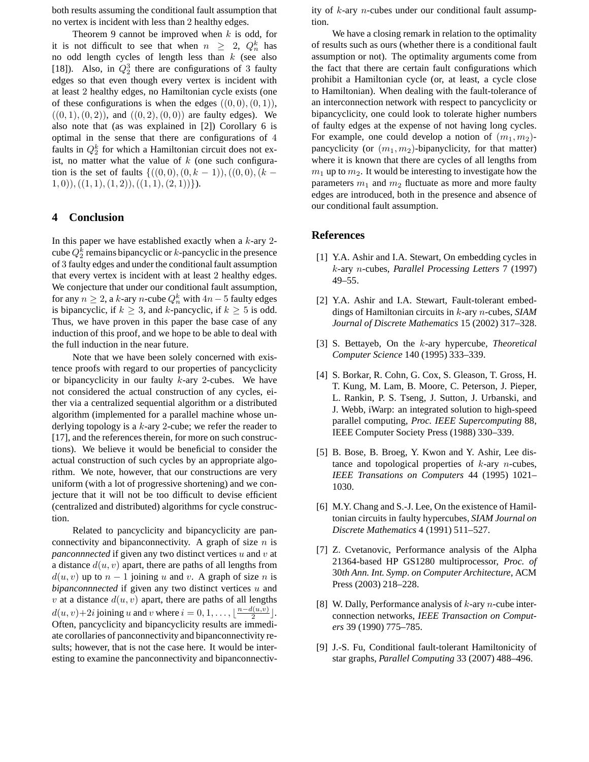both results assuming the conditional fault assumption that no vertex is incident with less than 2 healthy edges.

Theorem 9 cannot be improved when  $k$  is odd, for it is not difficult to see that when  $n \geq 2$ ,  $Q_n^k$  has no odd length cycles of length less than  $k$  (see also [18]). Also, in  $Q_2^3$  there are configurations of 3 faulty edges so that even though every vertex is incident with at least 2 healthy edges, no Hamiltonian cycle exists (one of these configurations is when the edges  $((0,0),(0,1)),$  $((0, 1), (0, 2))$ , and  $((0, 2), (0, 0))$  are faulty edges). We also note that (as was explained in [2]) Corollary 6 is optimal in the sense that there are configurations of 4 faults in  $Q_2^k$  for which a Hamiltonian circuit does not exist, no matter what the value of  $k$  (one such configuration is the set of faults  $\{((0,0), (0, k - 1)), ((0, 0), (k (1, 0),((1, 1), (1, 2)),((1, 1), (2, 1))\}.$ 

### **4 Conclusion**

In this paper we have established exactly when a  $k$ -ary 2cube  $Q_2^k$  remains bipancyclic or  $k$ -pancyclic in the presence of 3 faulty edges and under the conditional fault assumption that every vertex is incident with at least 2 healthy edges. We conjecture that under our conditional fault assumption, for any  $n \geq 2$ , a k-ary n-cube  $Q_n^k$  with  $4n-5$  faulty edges is bipancyclic, if  $k \geq 3$ , and k-pancyclic, if  $k \geq 5$  is odd. Thus, we have proven in this paper the base case of any induction of this proof, and we hope to be able to deal with the full induction in the near future.

Note that we have been solely concerned with existence proofs with regard to our properties of pancyclicity or bipancyclicity in our faulty  $k$ -ary 2-cubes. We have not considered the actual construction of any cycles, either via a centralized sequential algorithm or a distributed algorithm (implemented for a parallel machine whose underlying topology is a k-ary 2-cube; we refer the reader to [17], and the references therein, for more on such constructions). We believe it would be beneficial to consider the actual construction of such cycles by an appropriate algorithm. We note, however, that our constructions are very uniform (with a lot of progressive shortening) and we conjecture that it will not be too difficult to devise efficient (centralized and distributed) algorithms for cycle construction.

Related to pancyclicity and bipancyclicity are panconnectivity and bipanconnectivity. A graph of size  $n$  is *panconnnected* if given any two distinct vertices u and v at a distance  $d(u, v)$  apart, there are paths of all lengths from  $d(u, v)$  up to  $n - 1$  joining u and v. A graph of size n is *bipanconnnected* if given any two distinct vertices u and v at a distance  $d(u, v)$  apart, there are paths of all lengths  $d(u, v) + 2i$  joining u and v where  $i = 0, 1, \ldots, \lfloor \frac{n - d(u, v)}{2} \rfloor$  $\frac{u,v)}{2}$ . Often, pancyclicity and bipancyclicity results are immediate corollaries of panconnectivity and bipanconnectivity results; however, that is not the case here. It would be interesting to examine the panconnectivity and bipanconnectivity of  $k$ -ary *n*-cubes under our conditional fault assumption.

We have a closing remark in relation to the optimality of results such as ours (whether there is a conditional fault assumption or not). The optimality arguments come from the fact that there are certain fault configurations which prohibit a Hamiltonian cycle (or, at least, a cycle close to Hamiltonian). When dealing with the fault-tolerance of an interconnection network with respect to pancyclicity or bipancyclicity, one could look to tolerate higher numbers of faulty edges at the expense of not having long cycles. For example, one could develop a notion of  $(m_1, m_2)$ pancyclicity (or  $(m_1, m_2)$ -bipanyclicity, for that matter) where it is known that there are cycles of all lengths from  $m_1$  up to  $m_2$ . It would be interesting to investigate how the parameters  $m_1$  and  $m_2$  fluctuate as more and more faulty edges are introduced, both in the presence and absence of our conditional fault assumption.

#### **References**

- [1] Y.A. Ashir and I.A. Stewart, On embedding cycles in k-ary n-cubes, *Parallel Processing Letters* 7 (1997) 49–55.
- [2] Y.A. Ashir and I.A. Stewart, Fault-tolerant embeddings of Hamiltonian circuits in k-ary n-cubes, *SIAM Journal of Discrete Mathematics* 15 (2002) 317–328.
- [3] S. Bettayeb, On the k-ary hypercube, *Theoretical Computer Science* 140 (1995) 333–339.
- [4] S. Borkar, R. Cohn, G. Cox, S. Gleason, T. Gross, H. T. Kung, M. Lam, B. Moore, C. Peterson, J. Pieper, L. Rankin, P. S. Tseng, J. Sutton, J. Urbanski, and J. Webb, iWarp: an integrated solution to high-speed parallel computing, *Proc. IEEE Supercomputing* 88, IEEE Computer Society Press (1988) 330–339.
- [5] B. Bose, B. Broeg, Y. Kwon and Y. Ashir, Lee distance and topological properties of  $k$ -ary *n*-cubes, *IEEE Transations on Computers* 44 (1995) 1021– 1030.
- [6] M.Y. Chang and S.-J. Lee, On the existence of Hamiltonian circuits in faulty hypercubes, *SIAM Journal on Discrete Mathematics* 4 (1991) 511–527.
- [7] Z. Cvetanovic, Performance analysis of the Alpha 21364-based HP GS1280 multiprocessor, *Proc. of* 30*th Ann. Int. Symp. on Computer Architecture*, ACM Press (2003) 218–228.
- [8] W. Dally, Performance analysis of  $k$ -ary  $n$ -cube interconnection networks, *IEEE Transaction on Computers* 39 (1990) 775–785.
- [9] J.-S. Fu, Conditional fault-tolerant Hamiltonicity of star graphs, *Parallel Computing* 33 (2007) 488–496.